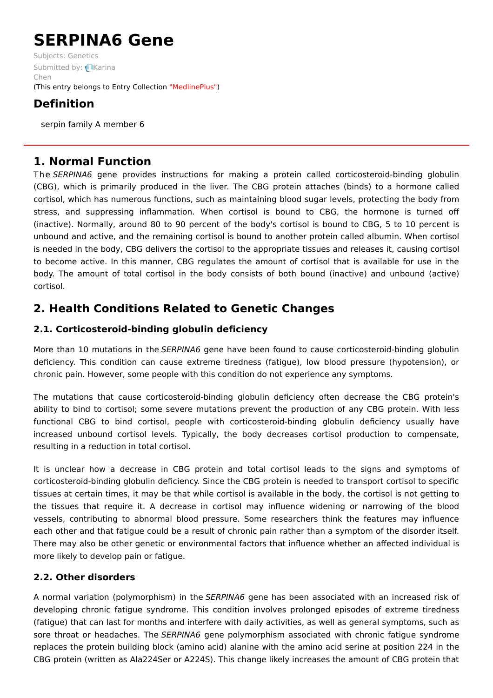# **SERPINA6 Gene**

Subjects: [Genetics](https://encyclopedia.pub/item/subject/56) [Submitted](https://sciprofiles.com/profile/1287767) by: Karina Chen (This entry belongs to Entry Collection ["MedlinePlus"](https://encyclopedia.pub/entry/collection/24))

# **Definition**

serpin family A member 6

## **1. Normal Function**

The SERPINA6 gene provides instructions for making a protein called corticosteroid-binding globulin (CBG), which is primarily produced in the liver. The CBG protein attaches (binds) to a hormone called cortisol, which has numerous functions, such as maintaining blood sugar levels, protecting the body from stress, and suppressing inflammation. When cortisol is bound to CBG, the hormone is turned off (inactive). Normally, around 80 to 90 percent of the body's cortisol is bound to CBG, 5 to 10 percent is unbound and active, and the remaining cortisol is bound to another protein called albumin. When cortisol is needed in the body, CBG delivers the cortisol to the appropriate tissues and releases it, causing cortisol to become active. In this manner, CBG regulates the amount of cortisol that is available for use in the body. The amount of total cortisol in the body consists of both bound (inactive) and unbound (active) cortisol.

# **2. Health Conditions Related to Genetic Changes**

## **2.1. Corticosteroid-binding globulin deficiency**

More than 10 mutations in the SERPINA6 gene have been found to cause corticosteroid-binding globulin deficiency. This condition can cause extreme tiredness (fatigue), low blood pressure (hypotension), or chronic pain. However, some people with this condition do not experience any symptoms.

The mutations that cause corticosteroid-binding globulin deficiency often decrease the CBG protein's ability to bind to cortisol; some severe mutations prevent the production of any CBG protein. With less functional CBG to bind cortisol, people with corticosteroid-binding globulin deficiency usually have increased unbound cortisol levels. Typically, the body decreases cortisol production to compensate, resulting in a reduction in total cortisol.

It is unclear how a decrease in CBG protein and total cortisol leads to the signs and symptoms of corticosteroid-binding globulin deficiency. Since the CBG protein is needed to transport cortisol to specific tissues at certain times, it may be that while cortisol is available in the body, the cortisol is not getting to the tissues that require it. A decrease in cortisol may influence widening or narrowing of the blood vessels, contributing to abnormal blood pressure. Some researchers think the features may influence each other and that fatigue could be a result of chronic pain rather than a symptom of the disorder itself. There may also be other genetic or environmental factors that influence whether an affected individual is more likely to develop pain or fatigue.

## **2.2. Other disorders**

A normal variation (polymorphism) in the SERPINA6 gene has been associated with an increased risk of developing chronic fatigue syndrome. This condition involves prolonged episodes of extreme tiredness (fatigue) that can last for months and interfere with daily activities, as well as general symptoms, such as sore throat or headaches. The SERPINA6 gene polymorphism associated with chronic fatigue syndrome replaces the protein building block (amino acid) alanine with the amino acid serine at position 224 in the CBG protein (written as Ala224Ser or A224S). This change likely increases the amount of CBG protein that